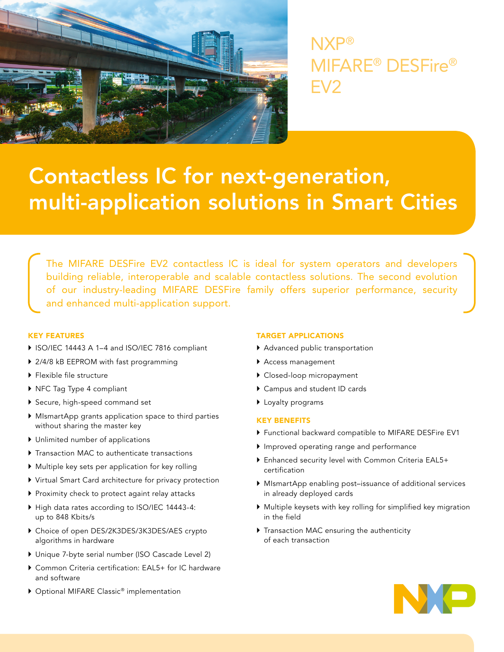

NXP® MIFARE® DESFire® EV2

# Contactless IC for next-generation, multi-application solutions in Smart Cities

The MIFARE DESFire EV2 contactless IC is ideal for system operators and developers building reliable, interoperable and scalable contactless solutions. The second evolution of our industry-leading MIFARE DESFire family offers superior performance, security and enhanced multi-application support.

# KEY FEATURES

- ▶ ISO/IEC 14443 A 1-4 and ISO/IEC 7816 compliant
- ▶ 2/4/8 kB EEPROM with fast programming
- $\blacktriangleright$  Flexible file structure
- ▶ NFC Tag Type 4 compliant
- ` Secure, high-speed command set
- ` MIsmartApp grants application space to third parties without sharing the master key
- $\blacktriangleright$  Unlimited number of applications
- $\blacktriangleright$  Transaction MAC to authenticate transactions
- $\blacktriangleright$  Multiple key sets per application for key rolling
- $\triangleright$  Virtual Smart Card architecture for privacy protection
- Proximity check to protect againt relay attacks
- ` High data rates according to ISO/IEC 14443-4: up to 848 Kbits/s
- ` Choice of open DES/2K3DES/3K3DES/AES crypto algorithms in hardware
- $\triangleright$  Unique 7-byte serial number (ISO Cascade Level 2)
- ▶ Common Criteria certification: EAL5+ for IC hardware and software
- ▶ Optional MIFARE Classic® implementation

# TARGET APPLICATIONS

- $\blacktriangleright$  Advanced public transportation
- ` Access management
- $\blacktriangleright$  Closed-loop micropayment
- ` Campus and student ID cards
- $\blacktriangleright$  Loyalty programs

# KEY BENEFITS

- ` Functional backward compatible to MIFARE DESFire EV1
- ` Improved operating range and performance
- ▶ Enhanced security level with Common Criteria EAL5+ certification
- ` MIsmartApp enabling post–issuance of additional services in already deployed cards
- ` Multiple keysets with key rolling for simplified key migration in the field
- $\triangleright$  Transaction MAC ensuring the authenticity of each transaction